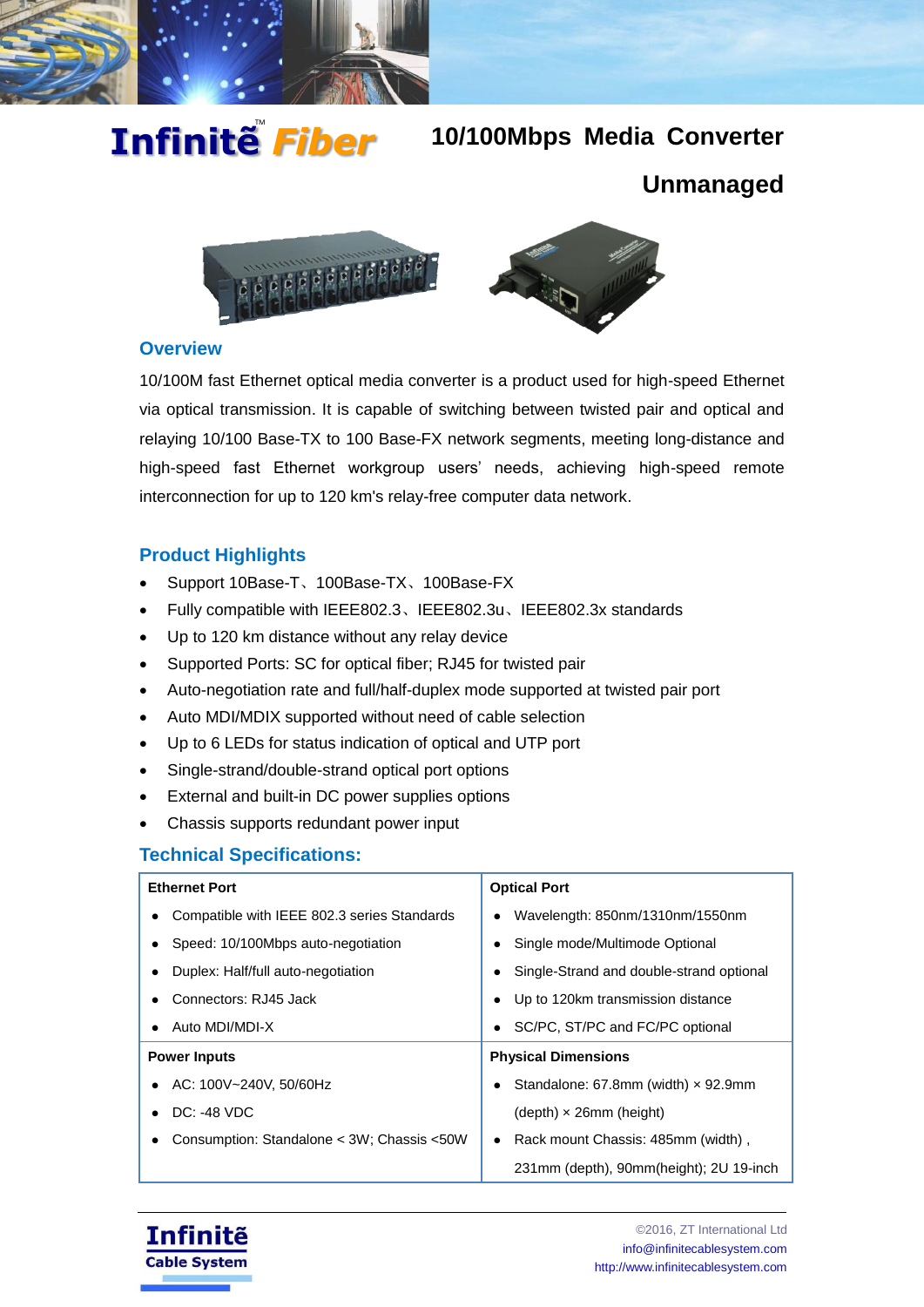

# Infinitễ *Fiber*

# **10/100Mbps Media Converter**

# **Unmanaged**



#### **Overview**

10/100M fast Ethernet optical media converter is a product used for high-speed Ethernet via optical transmission. It is capable of switching between twisted pair and optical and relaying 10/100 Base-TX to 100 Base-FX network segments, meeting long-distance and high-speed fast Ethernet workgroup users' needs, achieving high-speed remote interconnection for up to 120 km's relay-free computer data network.

### **Product Highlights**

- Support 10Base-T、100Base-TX、100Base-FX
- Fully compatible with IEEE802.3、IEEE802.3u、IEEE802.3x standards
- Up to 120 km distance without any relay device
- Supported Ports: SC for optical fiber; RJ45 for twisted pair
- Auto-negotiation rate and full/half-duplex mode supported at twisted pair port
- Auto MDI/MDIX supported without need of cable selection
- Up to 6 LEDs for status indication of optical and UTP port
- Single-strand/double-strand optical port options
- External and built-in DC power supplies options
- Chassis supports redundant power input

## **Technical Specifications:**

| <b>Ethernet Port</b>                                                           | <b>Optical Port</b>                             |  |
|--------------------------------------------------------------------------------|-------------------------------------------------|--|
| Compatible with IEEE 802.3 series Standards                                    | Wavelength: 850nm/1310nm/1550nm                 |  |
| Speed: 10/100Mbps auto-negotiation                                             | Single mode/Multimode Optional                  |  |
| Duplex: Half/full auto-negotiation<br>Single-Strand and double-strand optional |                                                 |  |
| Connectors: RJ45 Jack                                                          | • Up to 120km transmission distance             |  |
| • Auto MDI/MDI-X                                                               | SC/PC, ST/PC and FC/PC optional                 |  |
| <b>Power Inputs</b>                                                            | <b>Physical Dimensions</b>                      |  |
| • AC: 100V~240V, 50/60Hz                                                       | Standalone: 67.8mm (width) $\times$ 92.9mm      |  |
| $DC: -48 VDC$                                                                  | $(depth) \times 26mm$ (height)                  |  |
| Consumption: Standalone < 3W; Chassis <50W                                     | Rack mount Chassis: 485mm (width),<br>$\bullet$ |  |
|                                                                                | 231mm (depth), 90mm(height); 2U 19-inch         |  |